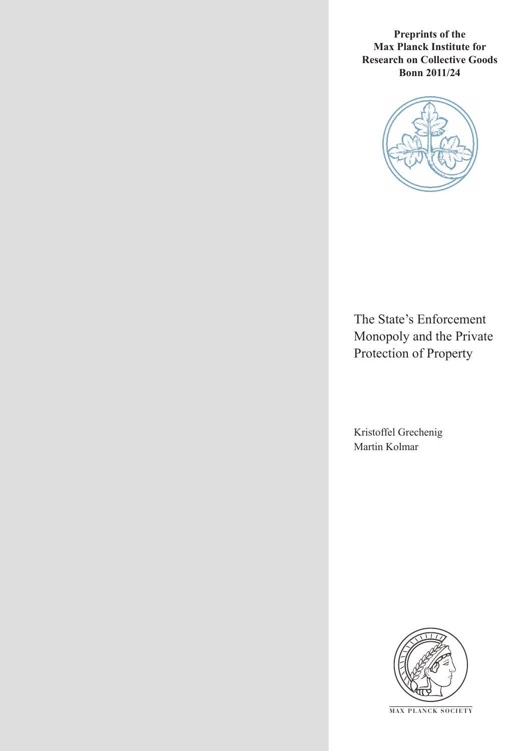**Preprints of the Max Planck Institute for Research on Collective Goods Bonn 2011/24**



The State's Enforcement Monopoly and the Private Protection of Property

Kristoffel Grechenig Martin Kolmar



**M AX PLANCK SOCIETY**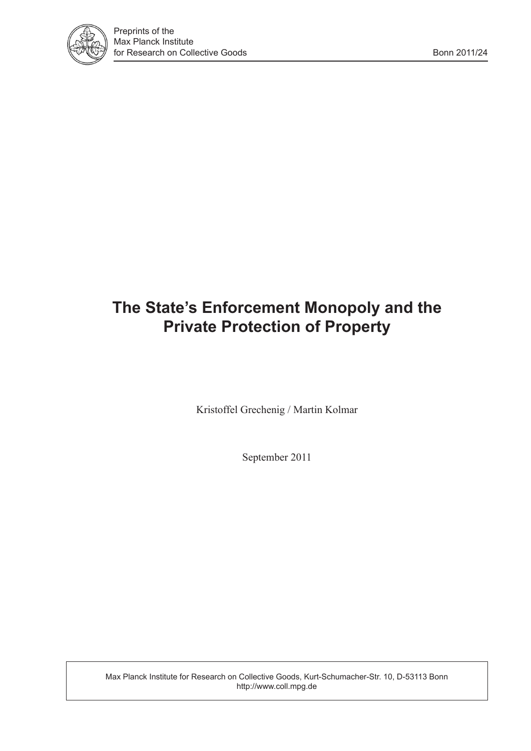

## **The State's Enforcement Monopoly and the Private Protection of Property**

Kristoffel Grechenig / Martin Kolmar

September 2011

Max Planck Institute for Research on Collective Goods, Kurt-Schumacher-Str. 10, D-53113 Bonn http://www.coll.mpg.de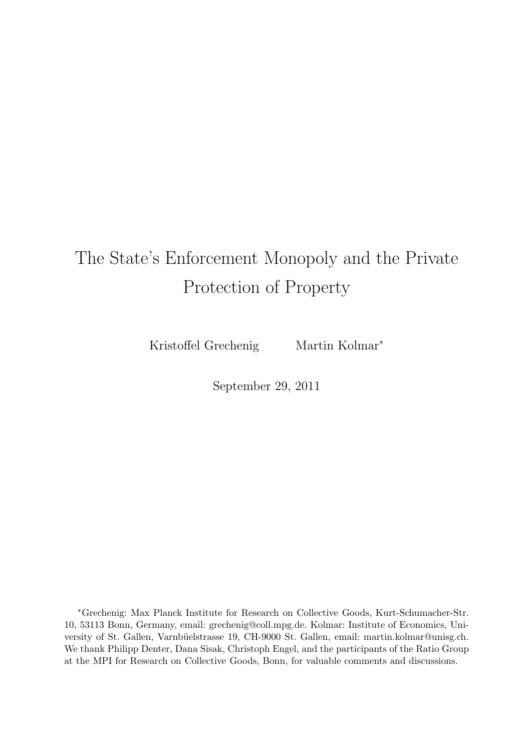# The State's Enforcement Monopoly and the Private Protection of Property

Kristoffel Grechenig Martin Kolmar<sup>\*</sup>

September 29, 2011

<sup>∗</sup>Grechenig: Max Planck Institute for Research on Collective Goods, Kurt-Schumacher-Str. 10, 53113 Bonn, Germany, email: grechenig@coll.mpg.de. Kolmar: Institute of Economics, University of St. Gallen, Varnbüelstrasse 19, CH-9000 St. Gallen, email: martin.kolmar@unisg.ch. We thank Philipp Denter, Dana Sisak, Christoph Engel, and the participants of the Ratio Group at the MPI for Research on Collective Goods, Bonn, for valuable comments and discussions.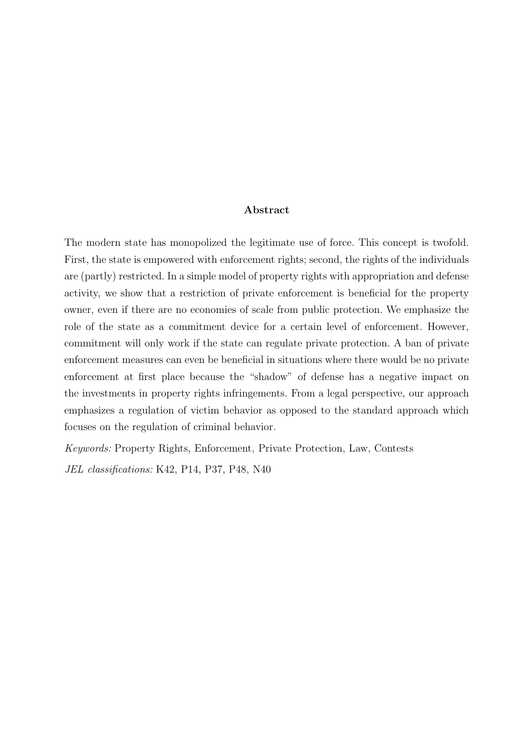#### Abstract

The modern state has monopolized the legitimate use of force. This concept is twofold. First, the state is empowered with enforcement rights; second, the rights of the individuals are (partly) restricted. In a simple model of property rights with appropriation and defense activity, we show that a restriction of private enforcement is beneficial for the property owner, even if there are no economies of scale from public protection. We emphasize the role of the state as a commitment device for a certain level of enforcement. However, commitment will only work if the state can regulate private protection. A ban of private enforcement measures can even be beneficial in situations where there would be no private enforcement at first place because the "shadow" of defense has a negative impact on the investments in property rights infringements. From a legal perspective, our approach emphasizes a regulation of victim behavior as opposed to the standard approach which focuses on the regulation of criminal behavior.

*Keywords:* Property Rights, Enforcement, Private Protection, Law, Contests

*JEL classifications:* K42, P14, P37, P48, N40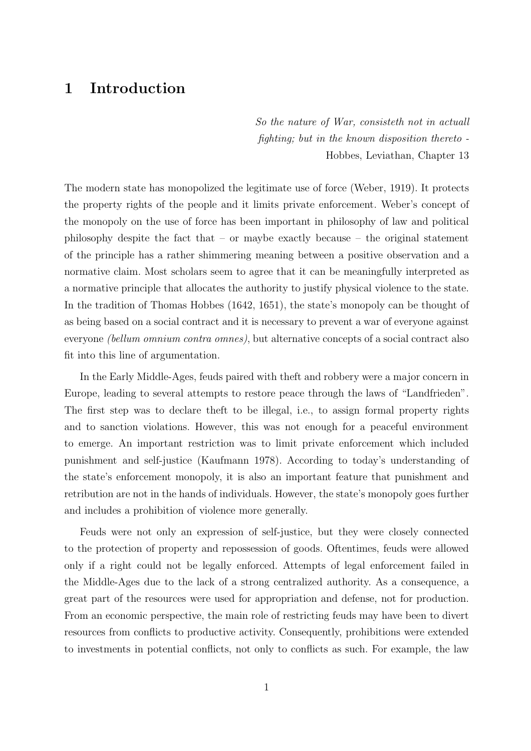### 1 Introduction

*So the nature of War, consisteth not in actuall fighting; but in the known disposition thereto -* Hobbes, Leviathan, Chapter 13

The modern state has monopolized the legitimate use of force (Weber, 1919). It protects the property rights of the people and it limits private enforcement. Weber's concept of the monopoly on the use of force has been important in philosophy of law and political philosophy despite the fact that – or maybe exactly because – the original statement of the principle has a rather shimmering meaning between a positive observation and a normative claim. Most scholars seem to agree that it can be meaningfully interpreted as a normative principle that allocates the authority to justify physical violence to the state. In the tradition of Thomas Hobbes (1642, 1651), the state's monopoly can be thought of as being based on a social contract and it is necessary to prevent a war of everyone against everyone *(bellum omnium contra omnes)*, but alternative concepts of a social contract also fit into this line of argumentation.

In the Early Middle-Ages, feuds paired with theft and robbery were a major concern in Europe, leading to several attempts to restore peace through the laws of "Landfrieden". The first step was to declare theft to be illegal, i.e., to assign formal property rights and to sanction violations. However, this was not enough for a peaceful environment to emerge. An important restriction was to limit private enforcement which included punishment and self-justice (Kaufmann 1978). According to today's understanding of the state's enforcement monopoly, it is also an important feature that punishment and retribution are not in the hands of individuals. However, the state's monopoly goes further and includes a prohibition of violence more generally.

Feuds were not only an expression of self-justice, but they were closely connected to the protection of property and repossession of goods. Oftentimes, feuds were allowed only if a right could not be legally enforced. Attempts of legal enforcement failed in the Middle-Ages due to the lack of a strong centralized authority. As a consequence, a great part of the resources were used for appropriation and defense, not for production. From an economic perspective, the main role of restricting feuds may have been to divert resources from conflicts to productive activity. Consequently, prohibitions were extended to investments in potential conflicts, not only to conflicts as such. For example, the law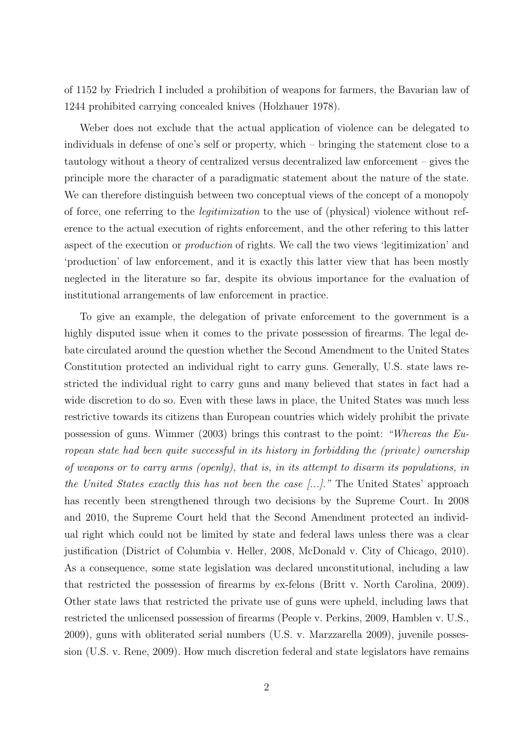of 1152 by Friedrich I included a prohibition of weapons for farmers, the Bavarian law of 1244 prohibited carrying concealed knives (Holzhauer 1978).

Weber does not exclude that the actual application of violence can be delegated to individuals in defense of one's self or property, which – bringing the statement close to a tautology without a theory of centralized versus decentralized law enforcement – gives the principle more the character of a paradigmatic statement about the nature of the state. We can therefore distinguish between two conceptual views of the concept of a monopoly of force, one referring to the *legitimization* to the use of (physical) violence without reference to the actual execution of rights enforcement, and the other refering to this latter aspect of the execution or *production* of rights. We call the two views 'legitimization' and 'production' of law enforcement, and it is exactly this latter view that has been mostly neglected in the literature so far, despite its obvious importance for the evaluation of institutional arrangements of law enforcement in practice.

To give an example, the delegation of private enforcement to the government is a highly disputed issue when it comes to the private possession of firearms. The legal debate circulated around the question whether the Second Amendment to the United States Constitution protected an individual right to carry guns. Generally, U.S. state laws restricted the individual right to carry guns and many believed that states in fact had a wide discretion to do so. Even with these laws in place, the United States was much less restrictive towards its citizens than European countries which widely prohibit the private possession of guns. Wimmer (2003) brings this contrast to the point: *"Whereas the European state had been quite successful in its history in forbidding the (private) ownership of weapons or to carry arms (openly), that is, in its attempt to disarm its populations, in the United States exactly this has not been the case [...]."* The United States' approach has recently been strengthened through two decisions by the Supreme Court. In 2008 and 2010, the Supreme Court held that the Second Amendment protected an individual right which could not be limited by state and federal laws unless there was a clear justification (District of Columbia v. Heller, 2008, McDonald v. City of Chicago, 2010). As a consequence, some state legislation was declared unconstitutional, including a law that restricted the possession of firearms by ex-felons (Britt v. North Carolina, 2009). Other state laws that restricted the private use of guns were upheld, including laws that restricted the unlicensed possession of firearms (People v. Perkins, 2009, Hamblen v. U.S., 2009), guns with obliterated serial numbers (U.S. v. Marzzarella 2009), juvenile possession (U.S. v. Rene, 2009). How much discretion federal and state legislators have remains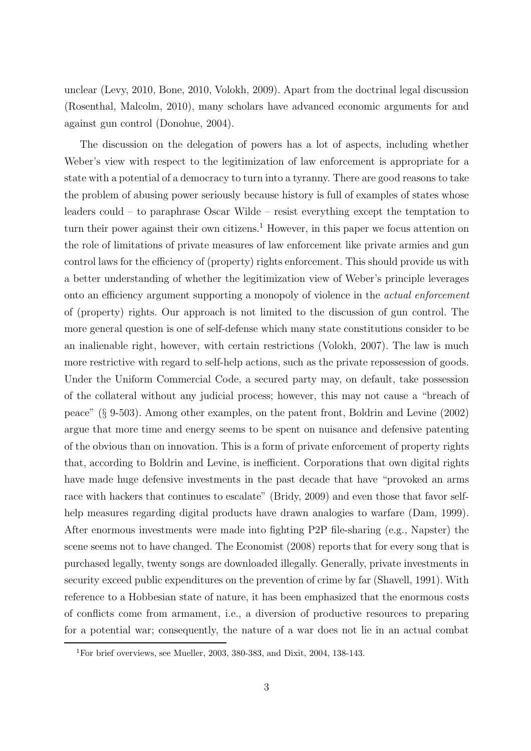unclear (Levy, 2010, Bone, 2010, Volokh, 2009). Apart from the doctrinal legal discussion (Rosenthal, Malcolm, 2010), many scholars have advanced economic arguments for and against gun control (Donohue, 2004).

The discussion on the delegation of powers has a lot of aspects, including whether Weber's view with respect to the legitimization of law enforcement is appropriate for a state with a potential of a democracy to turn into a tyranny. There are good reasons to take the problem of abusing power seriously because history is full of examples of states whose leaders could – to paraphrase Oscar Wilde – resist everything except the temptation to turn their power against their own citizens.<sup>1</sup> However, in this paper we focus attention on the role of limitations of private measures of law enforcement like private armies and gun control laws for the efficiency of (property) rights enforcement. This should provide us with a better understanding of whether the legitimization view of Weber's principle leverages onto an efficiency argument supporting a monopoly of violence in the *actual enforcement* of (property) rights. Our approach is not limited to the discussion of gun control. The more general question is one of self-defense which many state constitutions consider to be an inalienable right, however, with certain restrictions (Volokh, 2007). The law is much more restrictive with regard to self-help actions, such as the private repossession of goods. Under the Uniform Commercial Code, a secured party may, on default, take possession of the collateral without any judicial process; however, this may not cause a "breach of peace" (§ 9-503). Among other examples, on the patent front, Boldrin and Levine (2002) argue that more time and energy seems to be spent on nuisance and defensive patenting of the obvious than on innovation. This is a form of private enforcement of property rights that, according to Boldrin and Levine, is inefficient. Corporations that own digital rights have made huge defensive investments in the past decade that have "provoked an arms race with hackers that continues to escalate" (Bridy, 2009) and even those that favor selfhelp measures regarding digital products have drawn analogies to warfare (Dam, 1999). After enormous investments were made into fighting P2P file-sharing (e.g., Napster) the scene seems not to have changed. The Economist (2008) reports that for every song that is purchased legally, twenty songs are downloaded illegally. Generally, private investments in security exceed public expenditures on the prevention of crime by far (Shavell, 1991). With reference to a Hobbesian state of nature, it has been emphasized that the enormous costs of conflicts come from armament, i.e., a diversion of productive resources to preparing for a potential war; consequently, the nature of a war does not lie in an actual combat

<sup>&</sup>lt;sup>1</sup>For brief overviews, see Mueller, 2003, 380-383, and Dixit, 2004, 138-143.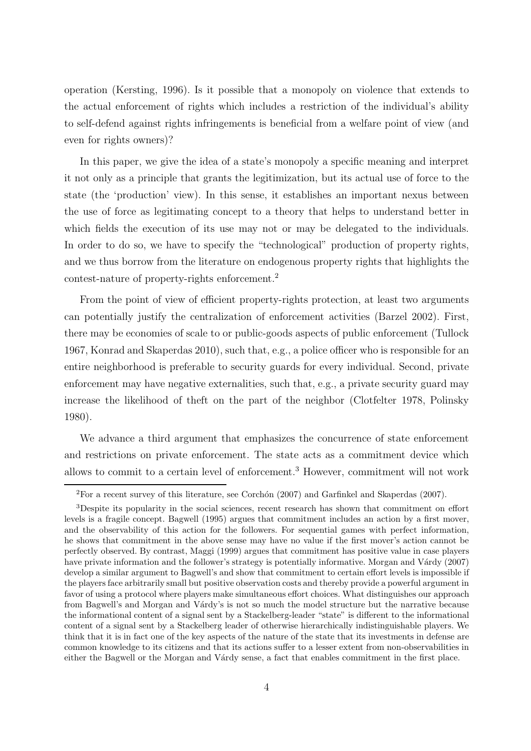operation (Kersting, 1996). Is it possible that a monopoly on violence that extends to the actual enforcement of rights which includes a restriction of the individual's ability to self-defend against rights infringements is beneficial from a welfare point of view (and even for rights owners)?

In this paper, we give the idea of a state's monopoly a specific meaning and interpret it not only as a principle that grants the legitimization, but its actual use of force to the state (the 'production' view). In this sense, it establishes an important nexus between the use of force as legitimating concept to a theory that helps to understand better in which fields the execution of its use may not or may be delegated to the individuals. In order to do so, we have to specify the "technological" production of property rights, and we thus borrow from the literature on endogenous property rights that highlights the contest-nature of property-rights enforcement.<sup>2</sup>

From the point of view of efficient property-rights protection, at least two arguments can potentially justify the centralization of enforcement activities (Barzel 2002). First, there may be economies of scale to or public-goods aspects of public enforcement (Tullock 1967, Konrad and Skaperdas 2010), such that, e.g., a police officer who is responsible for an entire neighborhood is preferable to security guards for every individual. Second, private enforcement may have negative externalities, such that, e.g., a private security guard may increase the likelihood of theft on the part of the neighbor (Clotfelter 1978, Polinsky 1980).

We advance a third argument that emphasizes the concurrence of state enforcement and restrictions on private enforcement. The state acts as a commitment device which allows to commit to a certain level of enforcement.<sup>3</sup> However, commitment will not work

 ${}^{2}$ For a recent survey of this literature, see Corchón (2007) and Garfinkel and Skaperdas (2007).

<sup>3</sup>Despite its popularity in the social sciences, recent research has shown that commitment on effort levels is a fragile concept. Bagwell (1995) argues that commitment includes an action by a first mover, and the observability of this action for the followers. For sequential games with perfect information, he shows that commitment in the above sense may have no value if the first mover's action cannot be perfectly observed. By contrast, Maggi (1999) argues that commitment has positive value in case players have private information and the follower's strategy is potentially informative. Morgan and Várdy (2007) develop a similar argument to Bagwell's and show that commitment to certain effort levels is impossible if the players face arbitrarily small but positive observation costs and thereby provide a powerful argument in favor of using a protocol where players make simultaneous effort choices. What distinguishes our approach from Bagwell's and Morgan and Vardy's is not so much the model structure but the narrative because the informational content of a signal sent by a Stackelberg-leader "state" is different to the informational content of a signal sent by a Stackelberg leader of otherwise hierarchically indistinguishable players. We think that it is in fact one of the key aspects of the nature of the state that its investments in defense are common knowledge to its citizens and that its actions suffer to a lesser extent from non-observabilities in either the Bagwell or the Morgan and Várdy sense, a fact that enables commitment in the first place.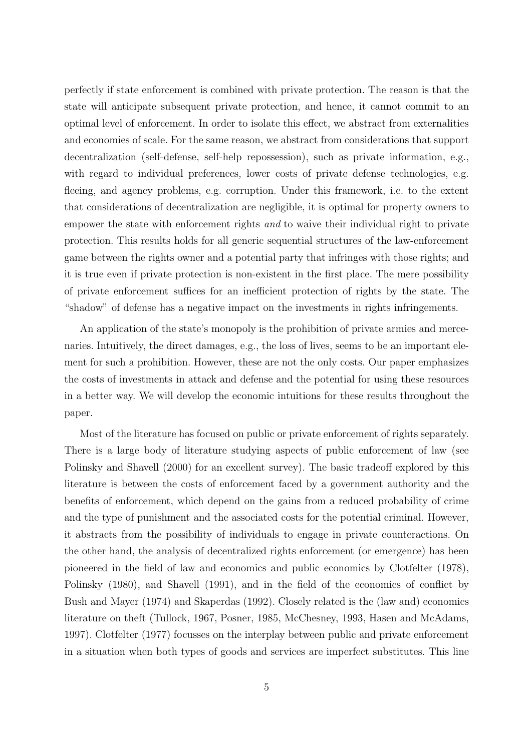perfectly if state enforcement is combined with private protection. The reason is that the state will anticipate subsequent private protection, and hence, it cannot commit to an optimal level of enforcement. In order to isolate this effect, we abstract from externalities and economies of scale. For the same reason, we abstract from considerations that support decentralization (self-defense, self-help repossession), such as private information, e.g., with regard to individual preferences, lower costs of private defense technologies, e.g. fleeing, and agency problems, e.g. corruption. Under this framework, i.e. to the extent that considerations of decentralization are negligible, it is optimal for property owners to empower the state with enforcement rights *and* to waive their individual right to private protection. This results holds for all generic sequential structures of the law-enforcement game between the rights owner and a potential party that infringes with those rights; and it is true even if private protection is non-existent in the first place. The mere possibility of private enforcement suffices for an inefficient protection of rights by the state. The "shadow" of defense has a negative impact on the investments in rights infringements.

An application of the state's monopoly is the prohibition of private armies and mercenaries. Intuitively, the direct damages, e.g., the loss of lives, seems to be an important element for such a prohibition. However, these are not the only costs. Our paper emphasizes the costs of investments in attack and defense and the potential for using these resources in a better way. We will develop the economic intuitions for these results throughout the paper.

Most of the literature has focused on public or private enforcement of rights separately. There is a large body of literature studying aspects of public enforcement of law (see Polinsky and Shavell (2000) for an excellent survey). The basic tradeoff explored by this literature is between the costs of enforcement faced by a government authority and the benefits of enforcement, which depend on the gains from a reduced probability of crime and the type of punishment and the associated costs for the potential criminal. However, it abstracts from the possibility of individuals to engage in private counteractions. On the other hand, the analysis of decentralized rights enforcement (or emergence) has been pioneered in the field of law and economics and public economics by Clotfelter (1978), Polinsky (1980), and Shavell (1991), and in the field of the economics of conflict by Bush and Mayer (1974) and Skaperdas (1992). Closely related is the (law and) economics literature on theft (Tullock, 1967, Posner, 1985, McChesney, 1993, Hasen and McAdams, 1997). Clotfelter (1977) focusses on the interplay between public and private enforcement in a situation when both types of goods and services are imperfect substitutes. This line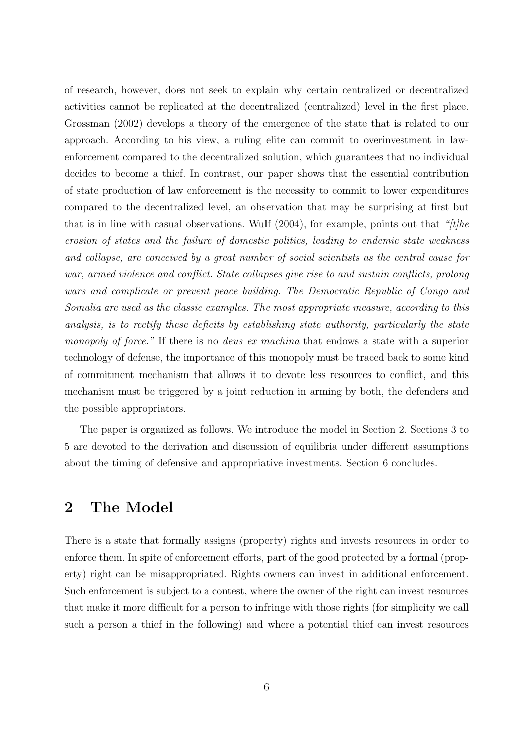of research, however, does not seek to explain why certain centralized or decentralized activities cannot be replicated at the decentralized (centralized) level in the first place. Grossman (2002) develops a theory of the emergence of the state that is related to our approach. According to his view, a ruling elite can commit to overinvestment in lawenforcement compared to the decentralized solution, which guarantees that no individual decides to become a thief. In contrast, our paper shows that the essential contribution of state production of law enforcement is the necessity to commit to lower expenditures compared to the decentralized level, an observation that may be surprising at first but that is in line with casual observations. Wulf (2004), for example, points out that *"[t]he erosion of states and the failure of domestic politics, leading to endemic state weakness and collapse, are conceived by a great number of social scientists as the central cause for war, armed violence and conflict. State collapses give rise to and sustain conflicts, prolong wars and complicate or prevent peace building. The Democratic Republic of Congo and Somalia are used as the classic examples. The most appropriate measure, according to this analysis, is to rectify these deficits by establishing state authority, particularly the state monopoly of force."* If there is no *deus ex machina* that endows a state with a superior technology of defense, the importance of this monopoly must be traced back to some kind of commitment mechanism that allows it to devote less resources to conflict, and this mechanism must be triggered by a joint reduction in arming by both, the defenders and the possible appropriators.

The paper is organized as follows. We introduce the model in Section 2. Sections 3 to 5 are devoted to the derivation and discussion of equilibria under different assumptions about the timing of defensive and appropriative investments. Section 6 concludes.

### 2 The Model

There is a state that formally assigns (property) rights and invests resources in order to enforce them. In spite of enforcement efforts, part of the good protected by a formal (property) right can be misappropriated. Rights owners can invest in additional enforcement. Such enforcement is subject to a contest, where the owner of the right can invest resources that make it more difficult for a person to infringe with those rights (for simplicity we call such a person a thief in the following) and where a potential thief can invest resources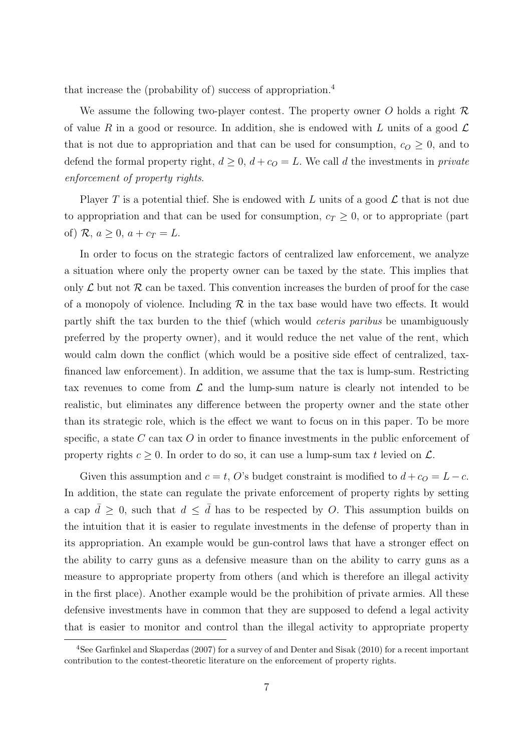that increase the (probability of) success of appropriation.<sup>4</sup>

We assume the following two-player contest. The property owner  $O$  holds a right  $R$ of value R in a good or resource. In addition, she is endowed with L units of a good  $\mathcal L$ that is not due to appropriation and that can be used for consumption,  $c<sub>O</sub> \ge 0$ , and to defend the formal property right,  $d \geq 0$ ,  $d + c_0 = L$ . We call d the investments in *private enforcement of property rights*.

Player T is a potential thief. She is endowed with L units of a good  $\mathcal L$  that is not due to appropriation and that can be used for consumption,  $c_T \geq 0$ , or to appropriate (part of)  $\mathcal{R}, a \geq 0, a + c_T = L$ .

In order to focus on the strategic factors of centralized law enforcement, we analyze a situation where only the property owner can be taxed by the state. This implies that only  $\mathcal L$  but not  $\mathcal R$  can be taxed. This convention increases the burden of proof for the case of a monopoly of violence. Including  $\mathcal R$  in the tax base would have two effects. It would partly shift the tax burden to the thief (which would *ceteris paribus* be unambiguously preferred by the property owner), and it would reduce the net value of the rent, which would calm down the conflict (which would be a positive side effect of centralized, taxfinanced law enforcement). In addition, we assume that the tax is lump-sum. Restricting tax revenues to come from  $\mathcal L$  and the lump-sum nature is clearly not intended to be realistic, but eliminates any difference between the property owner and the state other than its strategic role, which is the effect we want to focus on in this paper. To be more specific, a state C can tax O in order to finance investments in the public enforcement of property rights  $c \geq 0$ . In order to do so, it can use a lump-sum tax t levied on  $\mathcal{L}$ .

Given this assumption and  $c = t$ , O's budget constraint is modified to  $d + c<sub>O</sub> = L - c$ . In addition, the state can regulate the private enforcement of property rights by setting a cap  $\bar{d} \geq 0$ , such that  $d \leq \bar{d}$  has to be respected by O. This assumption builds on the intuition that it is easier to regulate investments in the defense of property than in its appropriation. An example would be gun-control laws that have a stronger effect on the ability to carry guns as a defensive measure than on the ability to carry guns as a measure to appropriate property from others (and which is therefore an illegal activity in the first place). Another example would be the prohibition of private armies. All these defensive investments have in common that they are supposed to defend a legal activity that is easier to monitor and control than the illegal activity to appropriate property

<sup>4</sup>See Garfinkel and Skaperdas (2007) for a survey of and Denter and Sisak (2010) for a recent important contribution to the contest-theoretic literature on the enforcement of property rights.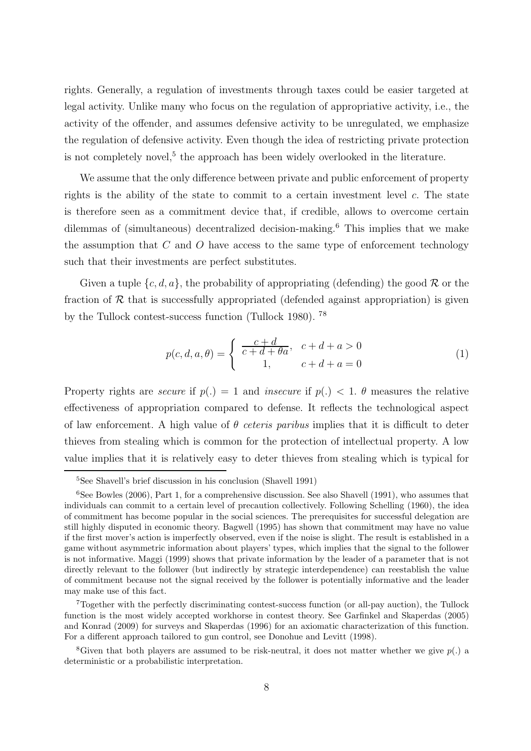rights. Generally, a regulation of investments through taxes could be easier targeted at legal activity. Unlike many who focus on the regulation of appropriative activity, i.e., the activity of the offender, and assumes defensive activity to be unregulated, we emphasize the regulation of defensive activity. Even though the idea of restricting private protection is not completely novel,<sup>5</sup> the approach has been widely overlooked in the literature.

We assume that the only difference between private and public enforcement of property rights is the ability of the state to commit to a certain investment level c. The state is therefore seen as a commitment device that, if credible, allows to overcome certain dilemmas of (simultaneous) decentralized decision-making.<sup>6</sup> This implies that we make the assumption that  $C$  and  $O$  have access to the same type of enforcement technology such that their investments are perfect substitutes.

Given a tuple  $\{c, d, a\}$ , the probability of appropriating (defending) the good  $\mathcal{R}$  or the fraction of  $R$  that is successfully appropriated (defended against appropriation) is given by the Tullock contest-success function (Tullock 1980). <sup>78</sup>

$$
p(c, d, a, \theta) = \begin{cases} \frac{c+d}{c+d+\theta a}, & c+d+a > 0\\ 1, & c+d+a = 0 \end{cases}
$$
 (1)

Property rights are *secure* if  $p(.) = 1$  and *insecure* if  $p(.) < 1$ .  $\theta$  measures the relative effectiveness of appropriation compared to defense. It reflects the technological aspect of law enforcement. A high value of θ *ceteris paribus* implies that it is difficult to deter thieves from stealing which is common for the protection of intellectual property. A low value implies that it is relatively easy to deter thieves from stealing which is typical for

<sup>5</sup>See Shavell's brief discussion in his conclusion (Shavell 1991)

 $6$ See Bowles (2006), Part 1, for a comprehensive discussion. See also Shavell (1991), who assumes that individuals can commit to a certain level of precaution collectively. Following Schelling (1960), the idea of commitment has become popular in the social sciences. The prerequisites for successful delegation are still highly disputed in economic theory. Bagwell (1995) has shown that commitment may have no value if the first mover's action is imperfectly observed, even if the noise is slight. The result is established in a game without asymmetric information about players' types, which implies that the signal to the follower is not informative. Maggi (1999) shows that private information by the leader of a parameter that is not directly relevant to the follower (but indirectly by strategic interdependence) can reestablish the value of commitment because not the signal received by the follower is potentially informative and the leader may make use of this fact.

<sup>7</sup>Together with the perfectly discriminating contest-success function (or all-pay auction), the Tullock function is the most widely accepted workhorse in contest theory. See Garfinkel and Skaperdas (2005) and Konrad (2009) for surveys and Skaperdas (1996) for an axiomatic characterization of this function. For a different approach tailored to gun control, see Donohue and Levitt (1998).

<sup>&</sup>lt;sup>8</sup>Given that both players are assumed to be risk-neutral, it does not matter whether we give  $p(.)$  a deterministic or a probabilistic interpretation.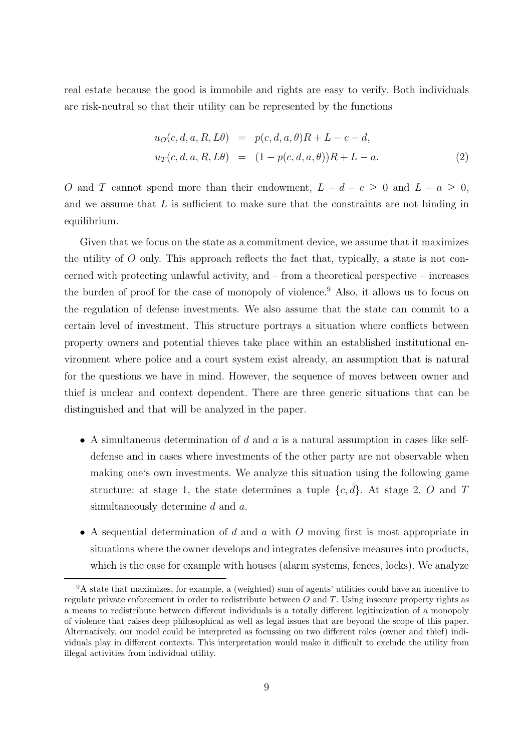real estate because the good is immobile and rights are easy to verify. Both individuals are risk-neutral so that their utility can be represented by the functions

$$
u_O(c, d, a, R, L\theta) = p(c, d, a, \theta)R + L - c - d,u_T(c, d, a, R, L\theta) = (1 - p(c, d, a, \theta))R + L - a.
$$
 (2)

O and T cannot spend more than their endowment,  $L - d - c \geq 0$  and  $L - a \geq 0$ , and we assume that L is sufficient to make sure that the constraints are not binding in equilibrium.

Given that we focus on the state as a commitment device, we assume that it maximizes the utility of  $O$  only. This approach reflects the fact that, typically, a state is not concerned with protecting unlawful activity, and – from a theoretical perspective – increases the burden of proof for the case of monopoly of violence.<sup>9</sup> Also, it allows us to focus on the regulation of defense investments. We also assume that the state can commit to a certain level of investment. This structure portrays a situation where conflicts between property owners and potential thieves take place within an established institutional environment where police and a court system exist already, an assumption that is natural for the questions we have in mind. However, the sequence of moves between owner and thief is unclear and context dependent. There are three generic situations that can be distinguished and that will be analyzed in the paper.

- A simultaneous determination of d and a is a natural assumption in cases like selfdefense and in cases where investments of the other party are not observable when making one's own investments. We analyze this situation using the following game structure: at stage 1, the state determines a tuple  $\{c, \bar{d}\}\$ . At stage 2, O and T simultaneously determine d and a.
- A sequential determination of d and a with O moving first is most appropriate in situations where the owner develops and integrates defensive measures into products, which is the case for example with houses (alarm systems, fences, locks). We analyze

<sup>9</sup>A state that maximizes, for example, a (weighted) sum of agents' utilities could have an incentive to regulate private enforcement in order to redistribute between  $O$  and  $T$ . Using insecure property rights as a means to redistribute between different individuals is a totally different legitimization of a monopoly of violence that raises deep philosophical as well as legal issues that are beyond the scope of this paper. Alternatively, our model could be interpreted as focussing on two different roles (owner and thief) individuals play in different contexts. This interpretation would make it difficult to exclude the utility from illegal activities from individual utility.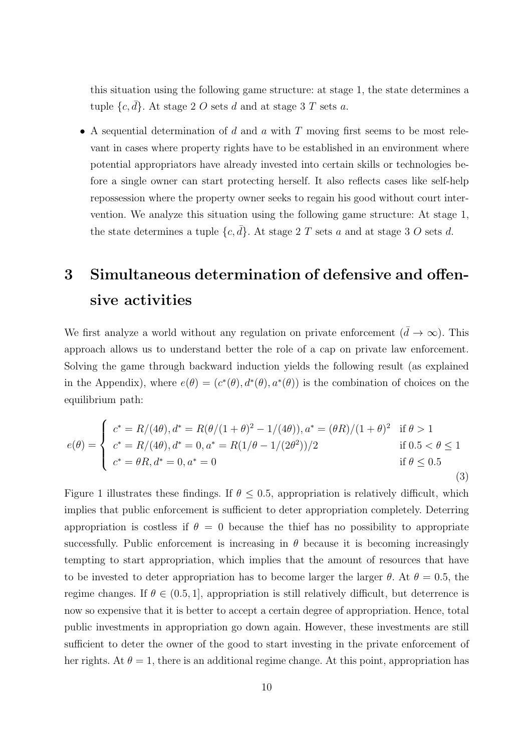this situation using the following game structure: at stage 1, the state determines a tuple  $\{c, \bar{d}\}$ . At stage 2 O sets d and at stage 3 T sets a.

• A sequential determination of  $d$  and  $a$  with  $T$  moving first seems to be most relevant in cases where property rights have to be established in an environment where potential appropriators have already invested into certain skills or technologies before a single owner can start protecting herself. It also reflects cases like self-help repossession where the property owner seeks to regain his good without court intervention. We analyze this situation using the following game structure: At stage 1, the state determines a tuple  $\{c, d\}$ . At stage 2 T sets a and at stage 3 O sets d.

### 3 Simultaneous determination of defensive and offensive activities

We first analyze a world without any regulation on private enforcement  $(\bar{d} \to \infty)$ . This approach allows us to understand better the role of a cap on private law enforcement. Solving the game through backward induction yields the following result (as explained in the Appendix), where  $e(\theta) = (c^*(\theta), d^*(\theta), a^*(\theta))$  is the combination of choices on the equilibrium path:

$$
e(\theta) = \begin{cases} c^* = R/(4\theta), d^* = R(\theta/(1+\theta)^2 - 1/(4\theta)), a^* = (\theta R)/(1+\theta)^2 & \text{if } \theta > 1\\ c^* = R/(4\theta), d^* = 0, a^* = R(1/\theta - 1/(2\theta^2))/2 & \text{if } 0.5 < \theta \le 1\\ c^* = \theta R, d^* = 0, a^* = 0 & \text{if } \theta \le 0.5 \end{cases}
$$
(3)

Figure 1 illustrates these findings. If  $\theta \leq 0.5$ , appropriation is relatively difficult, which implies that public enforcement is sufficient to deter appropriation completely. Deterring appropriation is costless if  $\theta = 0$  because the thief has no possibility to appropriate successfully. Public enforcement is increasing in  $\theta$  because it is becoming increasingly tempting to start appropriation, which implies that the amount of resources that have to be invested to deter appropriation has to become larger the larger  $\theta$ . At  $\theta = 0.5$ , the regime changes. If  $\theta \in (0.5, 1]$ , appropriation is still relatively difficult, but deterrence is now so expensive that it is better to accept a certain degree of appropriation. Hence, total public investments in appropriation go down again. However, these investments are still sufficient to deter the owner of the good to start investing in the private enforcement of her rights. At  $\theta = 1$ , there is an additional regime change. At this point, appropriation has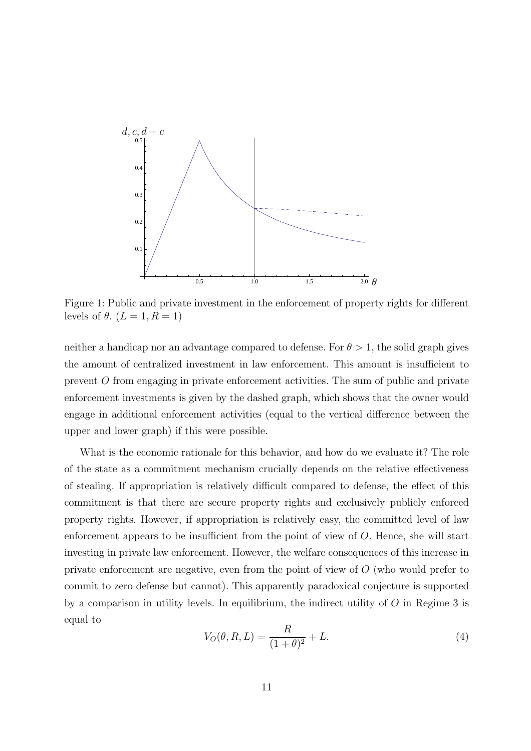

Figure 1: Public and private investment in the enforcement of property rights for different levels of  $\theta$ .  $(L = 1, R = 1)$ 

neither a handicap nor an advantage compared to defense. For  $\theta > 1$ , the solid graph gives the amount of centralized investment in law enforcement. This amount is insufficient to prevent O from engaging in private enforcement activities. The sum of public and private enforcement investments is given by the dashed graph, which shows that the owner would engage in additional enforcement activities (equal to the vertical difference between the upper and lower graph) if this were possible.

What is the economic rationale for this behavior, and how do we evaluate it? The role of the state as a commitment mechanism crucially depends on the relative effectiveness of stealing. If appropriation is relatively difficult compared to defense, the effect of this commitment is that there are secure property rights and exclusively publicly enforced property rights. However, if appropriation is relatively easy, the committed level of law enforcement appears to be insufficient from the point of view of O. Hence, she will start investing in private law enforcement. However, the welfare consequences of this increase in private enforcement are negative, even from the point of view of O (who would prefer to commit to zero defense but cannot). This apparently paradoxical conjecture is supported by a comparison in utility levels. In equilibrium, the indirect utility of  $O$  in Regime 3 is equal to

$$
V_O(\theta, R, L) = \frac{R}{(1 + \theta)^2} + L.
$$
\n(4)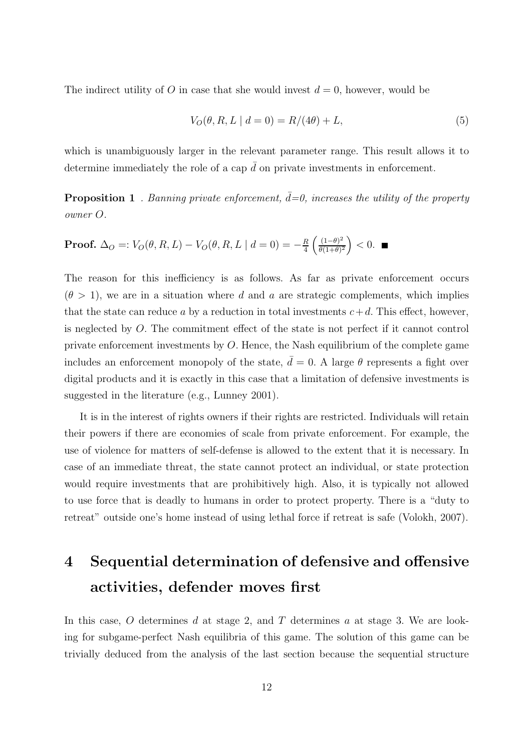The indirect utility of O in case that she would invest  $d = 0$ , however, would be

$$
V_O(\theta, R, L \mid d = 0) = R/(4\theta) + L,\t\t(5)
$$

which is unambiguously larger in the relevant parameter range. This result allows it to determine immediately the role of a cap  $\bar{d}$  on private investments in enforcement.

**Proposition 1** *. Banning private enforcement,*  $\bar{d} = 0$ *, increases the utility of the property owner* O*.*

**Proof.** 
$$
\Delta_O =: V_O(\theta, R, L) - V_O(\theta, R, L \mid d = 0) = -\frac{R}{4} \left( \frac{(1-\theta)^2}{\theta(1+\theta)^2} \right) < 0.
$$

The reason for this inefficiency is as follows. As far as private enforcement occurs  $(\theta > 1)$ , we are in a situation where d and a are strategic complements, which implies that the state can reduce a by a reduction in total investments  $c+d$ . This effect, however, is neglected by O. The commitment effect of the state is not perfect if it cannot control private enforcement investments by O. Hence, the Nash equilibrium of the complete game includes an enforcement monopoly of the state,  $\bar{d} = 0$ . A large  $\theta$  represents a fight over digital products and it is exactly in this case that a limitation of defensive investments is suggested in the literature (e.g., Lunney 2001).

It is in the interest of rights owners if their rights are restricted. Individuals will retain their powers if there are economies of scale from private enforcement. For example, the use of violence for matters of self-defense is allowed to the extent that it is necessary. In case of an immediate threat, the state cannot protect an individual, or state protection would require investments that are prohibitively high. Also, it is typically not allowed to use force that is deadly to humans in order to protect property. There is a "duty to retreat" outside one's home instead of using lethal force if retreat is safe (Volokh, 2007).

### 4 Sequential determination of defensive and offensive activities, defender moves first

In this case,  $O$  determines  $d$  at stage 2, and  $T$  determines  $a$  at stage 3. We are looking for subgame-perfect Nash equilibria of this game. The solution of this game can be trivially deduced from the analysis of the last section because the sequential structure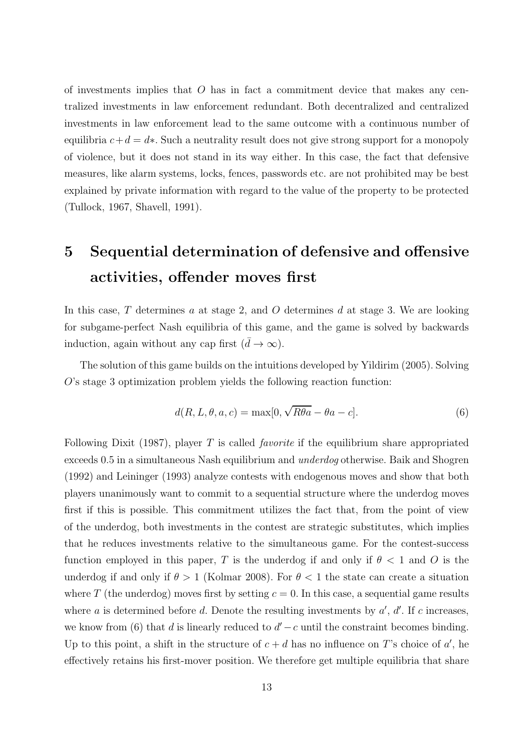of investments implies that  $O$  has in fact a commitment device that makes any centralized investments in law enforcement redundant. Both decentralized and centralized investments in law enforcement lead to the same outcome with a continuous number of equilibria  $c+d = d*$ . Such a neutrality result does not give strong support for a monopoly of violence, but it does not stand in its way either. In this case, the fact that defensive measures, like alarm systems, locks, fences, passwords etc. are not prohibited may be best explained by private information with regard to the value of the property to be protected (Tullock, 1967, Shavell, 1991).

## 5 Sequential determination of defensive and offensive activities, offender moves first

In this case,  $T$  determines  $a$  at stage 2, and  $O$  determines  $d$  at stage 3. We are looking for subgame-perfect Nash equilibria of this game, and the game is solved by backwards induction, again without any cap first  $(\bar{d} \to \infty)$ .

The solution of this game builds on the intuitions developed by Yildirim (2005). Solving O's stage 3 optimization problem yields the following reaction function:

$$
d(R, L, \theta, a, c) = \max[0, \sqrt{R\theta a} - \theta a - c].
$$
\n(6)

Following Dixit (1987), player T is called *favorite* if the equilibrium share appropriated exceeds 0.5 in a simultaneous Nash equilibrium and *underdog* otherwise. Baik and Shogren (1992) and Leininger (1993) analyze contests with endogenous moves and show that both players unanimously want to commit to a sequential structure where the underdog moves first if this is possible. This commitment utilizes the fact that, from the point of view of the underdog, both investments in the contest are strategic substitutes, which implies that he reduces investments relative to the simultaneous game. For the contest-success function employed in this paper, T is the underdog if and only if  $\theta < 1$  and O is the underdog if and only if  $\theta > 1$  (Kolmar 2008). For  $\theta < 1$  the state can create a situation where T (the underdog) moves first by setting  $c = 0$ . In this case, a sequential game results where a is determined before d. Denote the resulting investments by  $a'$ ,  $d'$ . If c increases, we know from (6) that d is linearly reduced to  $d' - c$  until the constraint becomes binding. Up to this point, a shift in the structure of  $c + d$  has no influence on T's choice of a', he effectively retains his first-mover position. We therefore get multiple equilibria that share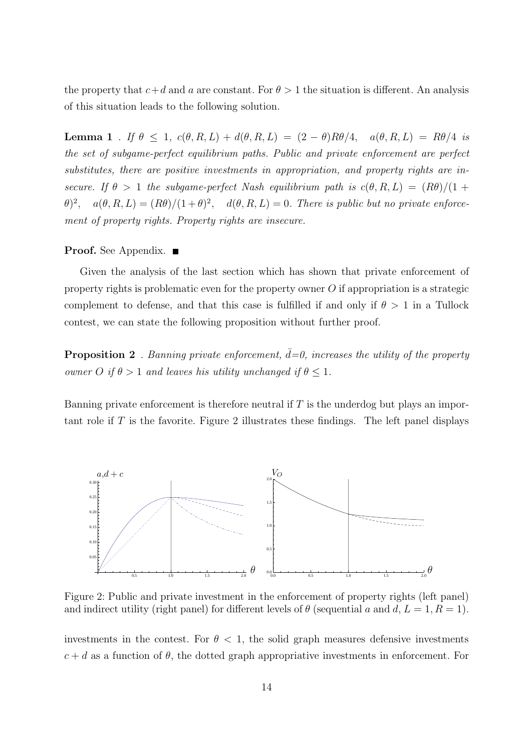the property that  $c+d$  and a are constant. For  $\theta > 1$  the situation is different. An analysis of this situation leads to the following solution.

**Lemma 1** *. If*  $\theta \leq 1$ ,  $c(\theta, R, L) + d(\theta, R, L) = (2 - \theta)R\theta/4$ ,  $a(\theta, R, L) = R\theta/4$  *is the set of subgame-perfect equilibrium paths. Public and private enforcement are perfect substitutes, there are positive investments in appropriation, and property rights are insecure. If*  $\theta > 1$  *the subgame-perfect Nash equilibrium path is*  $c(\theta, R, L) = (R\theta)/(1 +$  $(\theta)^2$ ,  $a(\theta, R, L) = (R\theta)/(1+\theta)^2$ ,  $d(\theta, R, L) = 0$ . There is public but no private enforce*ment of property rights. Property rights are insecure.*

#### **Proof.** See Appendix. ■

Given the analysis of the last section which has shown that private enforcement of property rights is problematic even for the property owner  $O$  if appropriation is a strategic complement to defense, and that this case is fulfilled if and only if  $\theta > 1$  in a Tullock contest, we can state the following proposition without further proof.

**Proposition 2** *. Banning private enforcement,*  $d=0$ *, increases the utility of the property owner*  $O$  *if*  $\theta > 1$  *and leaves his utility unchanged if*  $\theta \leq 1$ *.* 

Banning private enforcement is therefore neutral if  $T$  is the underdog but plays an important role if  $T$  is the favorite. Figure 2 illustrates these findings. The left panel displays



Figure 2: Public and private investment in the enforcement of property rights (left panel) and indirect utility (right panel) for different levels of  $\theta$  (sequential a and d,  $L = 1, R = 1$ ).

investments in the contest. For  $\theta$  < 1, the solid graph measures defensive investments  $c + d$  as a function of  $\theta$ , the dotted graph appropriative investments in enforcement. For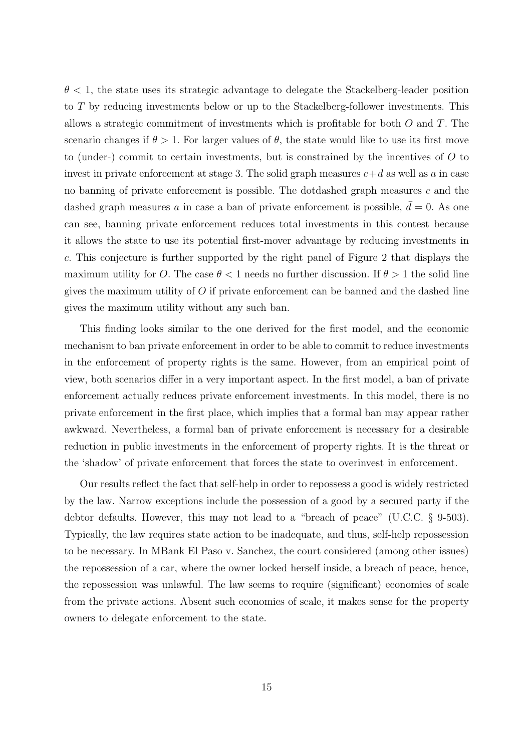$\theta$  < 1, the state uses its strategic advantage to delegate the Stackelberg-leader position to T by reducing investments below or up to the Stackelberg-follower investments. This allows a strategic commitment of investments which is profitable for both  $O$  and  $T$ . The scenario changes if  $\theta > 1$ . For larger values of  $\theta$ , the state would like to use its first move to (under-) commit to certain investments, but is constrained by the incentives of  $O$  to invest in private enforcement at stage 3. The solid graph measures  $c+d$  as well as a in case no banning of private enforcement is possible. The dotdashed graph measures c and the dashed graph measures a in case a ban of private enforcement is possible,  $\bar{d} = 0$ . As one can see, banning private enforcement reduces total investments in this contest because it allows the state to use its potential first-mover advantage by reducing investments in c. This conjecture is further supported by the right panel of Figure 2 that displays the maximum utility for O. The case  $\theta < 1$  needs no further discussion. If  $\theta > 1$  the solid line gives the maximum utility of  $O$  if private enforcement can be banned and the dashed line gives the maximum utility without any such ban.

This finding looks similar to the one derived for the first model, and the economic mechanism to ban private enforcement in order to be able to commit to reduce investments in the enforcement of property rights is the same. However, from an empirical point of view, both scenarios differ in a very important aspect. In the first model, a ban of private enforcement actually reduces private enforcement investments. In this model, there is no private enforcement in the first place, which implies that a formal ban may appear rather awkward. Nevertheless, a formal ban of private enforcement is necessary for a desirable reduction in public investments in the enforcement of property rights. It is the threat or the 'shadow' of private enforcement that forces the state to overinvest in enforcement.

Our results reflect the fact that self-help in order to repossess a good is widely restricted by the law. Narrow exceptions include the possession of a good by a secured party if the debtor defaults. However, this may not lead to a "breach of peace" (U.C.C. § 9-503). Typically, the law requires state action to be inadequate, and thus, self-help repossession to be necessary. In MBank El Paso v. Sanchez, the court considered (among other issues) the repossession of a car, where the owner locked herself inside, a breach of peace, hence, the repossession was unlawful. The law seems to require (significant) economies of scale from the private actions. Absent such economies of scale, it makes sense for the property owners to delegate enforcement to the state.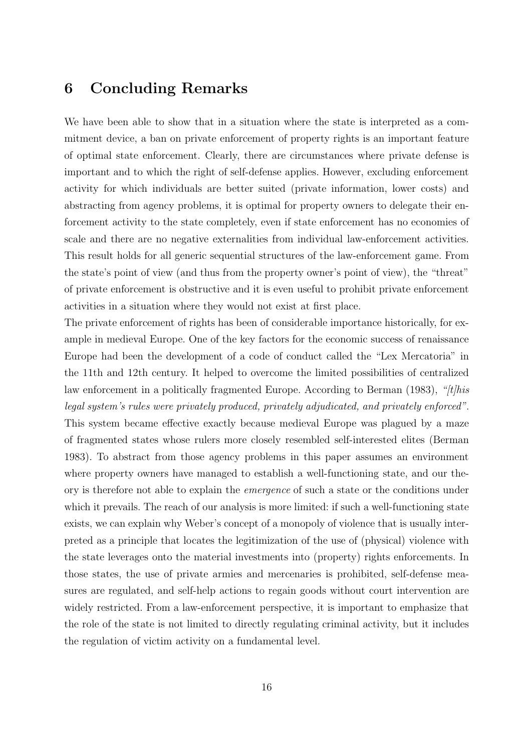### 6 Concluding Remarks

We have been able to show that in a situation where the state is interpreted as a commitment device, a ban on private enforcement of property rights is an important feature of optimal state enforcement. Clearly, there are circumstances where private defense is important and to which the right of self-defense applies. However, excluding enforcement activity for which individuals are better suited (private information, lower costs) and abstracting from agency problems, it is optimal for property owners to delegate their enforcement activity to the state completely, even if state enforcement has no economies of scale and there are no negative externalities from individual law-enforcement activities. This result holds for all generic sequential structures of the law-enforcement game. From the state's point of view (and thus from the property owner's point of view), the "threat" of private enforcement is obstructive and it is even useful to prohibit private enforcement activities in a situation where they would not exist at first place.

The private enforcement of rights has been of considerable importance historically, for example in medieval Europe. One of the key factors for the economic success of renaissance Europe had been the development of a code of conduct called the "Lex Mercatoria" in the 11th and 12th century. It helped to overcome the limited possibilities of centralized law enforcement in a politically fragmented Europe. According to Berman (1983), *"[t]his legal system's rules were privately produced, privately adjudicated, and privately enforced"*. This system became effective exactly because medieval Europe was plagued by a maze of fragmented states whose rulers more closely resembled self-interested elites (Berman 1983). To abstract from those agency problems in this paper assumes an environment where property owners have managed to establish a well-functioning state, and our theory is therefore not able to explain the *emergence* of such a state or the conditions under which it prevails. The reach of our analysis is more limited: if such a well-functioning state exists, we can explain why Weber's concept of a monopoly of violence that is usually interpreted as a principle that locates the legitimization of the use of (physical) violence with the state leverages onto the material investments into (property) rights enforcements. In those states, the use of private armies and mercenaries is prohibited, self-defense measures are regulated, and self-help actions to regain goods without court intervention are widely restricted. From a law-enforcement perspective, it is important to emphasize that the role of the state is not limited to directly regulating criminal activity, but it includes the regulation of victim activity on a fundamental level.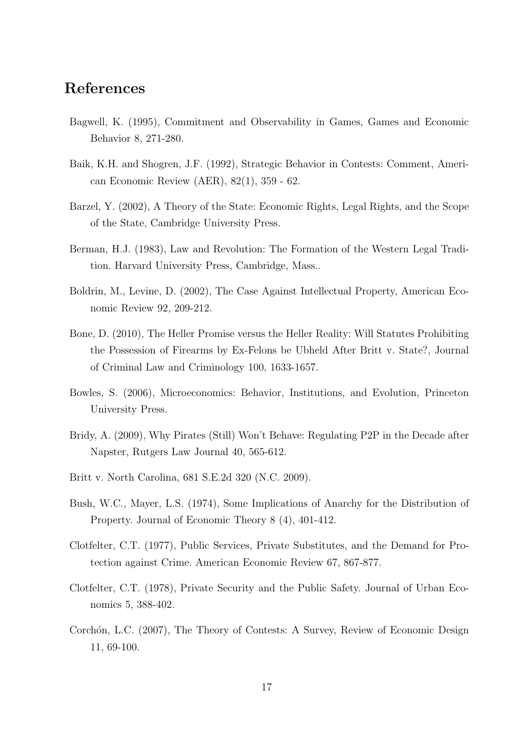### References

- Bagwell, K. (1995), Commitment and Observability in Games, Games and Economic Behavior 8, 271-280.
- Baik, K.H. and Shogren, J.F. (1992), Strategic Behavior in Contests: Comment, American Economic Review (AER), 82(1), 359 - 62.
- Barzel, Y. (2002), A Theory of the State: Economic Rights, Legal Rights, and the Scope of the State, Cambridge University Press.
- Berman, H.J. (1983), Law and Revolution: The Formation of the Western Legal Tradition. Harvard University Press, Cambridge, Mass..
- Boldrin, M., Levine, D. (2002), The Case Against Intellectual Property, American Economic Review 92, 209-212.
- Bone, D. (2010), The Heller Promise versus the Heller Reality: Will Statutes Prohibiting the Possession of Firearms by Ex-Felons be Ubheld After Britt v. State?, Journal of Criminal Law and Criminology 100, 1633-1657.
- Bowles, S. (2006), Microeconomics: Behavior, Institutions, and Evolution, Princeton University Press.
- Bridy, A. (2009), Why Pirates (Still) Won't Behave: Regulating P2P in the Decade after Napster, Rutgers Law Journal 40, 565-612.
- Britt v. North Carolina, 681 S.E.2d 320 (N.C. 2009).
- Bush, W.C., Mayer, L.S. (1974), Some Implications of Anarchy for the Distribution of Property. Journal of Economic Theory 8 (4), 401-412.
- Clotfelter, C.T. (1977), Public Services, Private Substitutes, and the Demand for Protection against Crime. American Economic Review 67, 867-877.
- Clotfelter, C.T. (1978), Private Security and the Public Safety. Journal of Urban Economics 5, 388-402.
- Corchón, L.C. (2007), The Theory of Contests: A Survey, Review of Economic Design 11, 69-100.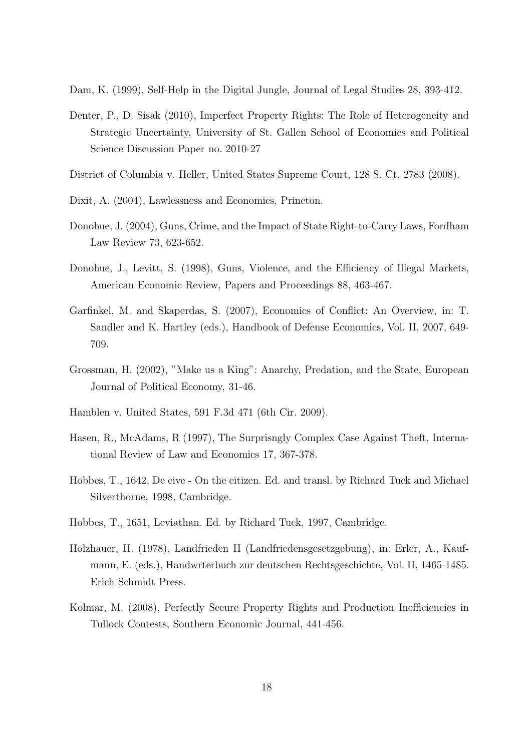Dam, K. (1999), Self-Help in the Digital Jungle, Journal of Legal Studies 28, 393-412.

- Denter, P., D. Sisak (2010), Imperfect Property Rights: The Role of Heterogeneity and Strategic Uncertainty, University of St. Gallen School of Economics and Political Science Discussion Paper no. 2010-27
- District of Columbia v. Heller, United States Supreme Court, 128 S. Ct. 2783 (2008).
- Dixit, A. (2004), Lawlessness and Economics, Princton.
- Donohue, J. (2004), Guns, Crime, and the Impact of State Right-to-Carry Laws, Fordham Law Review 73, 623-652.
- Donohue, J., Levitt, S. (1998), Guns, Violence, and the Efficiency of Illegal Markets, American Economic Review, Papers and Proceedings 88, 463-467.
- Garfinkel, M. and Skaperdas, S. (2007), Economics of Conflict: An Overview, in: T. Sandler and K. Hartley (eds.), Handbook of Defense Economics, Vol. II, 2007, 649- 709.
- Grossman, H. (2002), "Make us a King": Anarchy, Predation, and the State, European Journal of Political Economy, 31-46.
- Hamblen v. United States, 591 F.3d 471 (6th Cir. 2009).
- Hasen, R., McAdams, R (1997), The Surprisngly Complex Case Against Theft, International Review of Law and Economics 17, 367-378.
- Hobbes, T., 1642, De cive On the citizen. Ed. and transl. by Richard Tuck and Michael Silverthorne, 1998, Cambridge.
- Hobbes, T., 1651, Leviathan. Ed. by Richard Tuck, 1997, Cambridge.
- Holzhauer, H. (1978), Landfrieden II (Landfriedensgesetzgebung), in: Erler, A., Kaufmann, E. (eds.), Handwrterbuch zur deutschen Rechtsgeschichte, Vol. II, 1465-1485. Erich Schmidt Press.
- Kolmar, M. (2008), Perfectly Secure Property Rights and Production Inefficiencies in Tullock Contests, Southern Economic Journal, 441-456.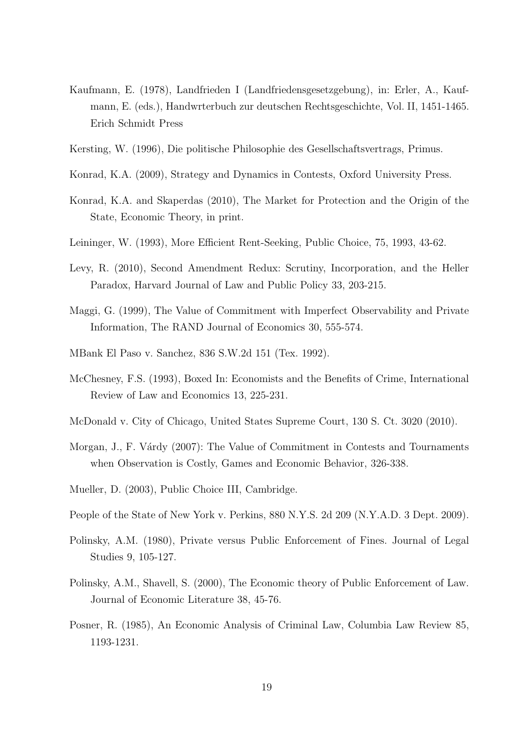- Kaufmann, E. (1978), Landfrieden I (Landfriedensgesetzgebung), in: Erler, A., Kaufmann, E. (eds.), Handwrterbuch zur deutschen Rechtsgeschichte, Vol. II, 1451-1465. Erich Schmidt Press
- Kersting, W. (1996), Die politische Philosophie des Gesellschaftsvertrags, Primus.
- Konrad, K.A. (2009), Strategy and Dynamics in Contests, Oxford University Press.
- Konrad, K.A. and Skaperdas (2010), The Market for Protection and the Origin of the State, Economic Theory, in print.
- Leininger, W. (1993), More Efficient Rent-Seeking, Public Choice, 75, 1993, 43-62.
- Levy, R. (2010), Second Amendment Redux: Scrutiny, Incorporation, and the Heller Paradox, Harvard Journal of Law and Public Policy 33, 203-215.
- Maggi, G. (1999), The Value of Commitment with Imperfect Observability and Private Information, The RAND Journal of Economics 30, 555-574.
- MBank El Paso v. Sanchez, 836 S.W.2d 151 (Tex. 1992).
- McChesney, F.S. (1993), Boxed In: Economists and the Benefits of Crime, International Review of Law and Economics 13, 225-231.
- McDonald v. City of Chicago, United States Supreme Court, 130 S. Ct. 3020 (2010).
- Morgan, J., F. Várdy (2007): The Value of Commitment in Contests and Tournaments when Observation is Costly, Games and Economic Behavior, 326-338.
- Mueller, D. (2003), Public Choice III, Cambridge.
- People of the State of New York v. Perkins, 880 N.Y.S. 2d 209 (N.Y.A.D. 3 Dept. 2009).
- Polinsky, A.M. (1980), Private versus Public Enforcement of Fines. Journal of Legal Studies 9, 105-127.
- Polinsky, A.M., Shavell, S. (2000), The Economic theory of Public Enforcement of Law. Journal of Economic Literature 38, 45-76.
- Posner, R. (1985), An Economic Analysis of Criminal Law, Columbia Law Review 85, 1193-1231.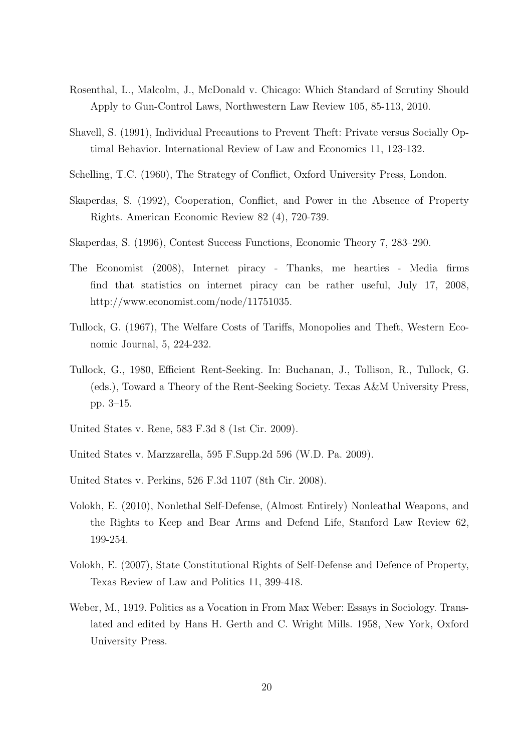- Rosenthal, L., Malcolm, J., McDonald v. Chicago: Which Standard of Scrutiny Should Apply to Gun-Control Laws, Northwestern Law Review 105, 85-113, 2010.
- Shavell, S. (1991), Individual Precautions to Prevent Theft: Private versus Socially Optimal Behavior. International Review of Law and Economics 11, 123-132.
- Schelling, T.C. (1960), The Strategy of Conflict, Oxford University Press, London.
- Skaperdas, S. (1992), Cooperation, Conflict, and Power in the Absence of Property Rights. American Economic Review 82 (4), 720-739.
- Skaperdas, S. (1996), Contest Success Functions, Economic Theory 7, 283–290.
- The Economist (2008), Internet piracy Thanks, me hearties Media firms find that statistics on internet piracy can be rather useful, July 17, 2008, http://www.economist.com/node/11751035.
- Tullock, G. (1967), The Welfare Costs of Tariffs, Monopolies and Theft, Western Economic Journal, 5, 224-232.
- Tullock, G., 1980, Efficient Rent-Seeking. In: Buchanan, J., Tollison, R., Tullock, G. (eds.), Toward a Theory of the Rent-Seeking Society. Texas A&M University Press, pp. 3–15.
- United States v. Rene, 583 F.3d 8 (1st Cir. 2009).
- United States v. Marzzarella, 595 F.Supp.2d 596 (W.D. Pa. 2009).
- United States v. Perkins, 526 F.3d 1107 (8th Cir. 2008).
- Volokh, E. (2010), Nonlethal Self-Defense, (Almost Entirely) Nonleathal Weapons, and the Rights to Keep and Bear Arms and Defend Life, Stanford Law Review 62, 199-254.
- Volokh, E. (2007), State Constitutional Rights of Self-Defense and Defence of Property, Texas Review of Law and Politics 11, 399-418.
- Weber, M., 1919. Politics as a Vocation in From Max Weber: Essays in Sociology. Translated and edited by Hans H. Gerth and C. Wright Mills. 1958, New York, Oxford University Press.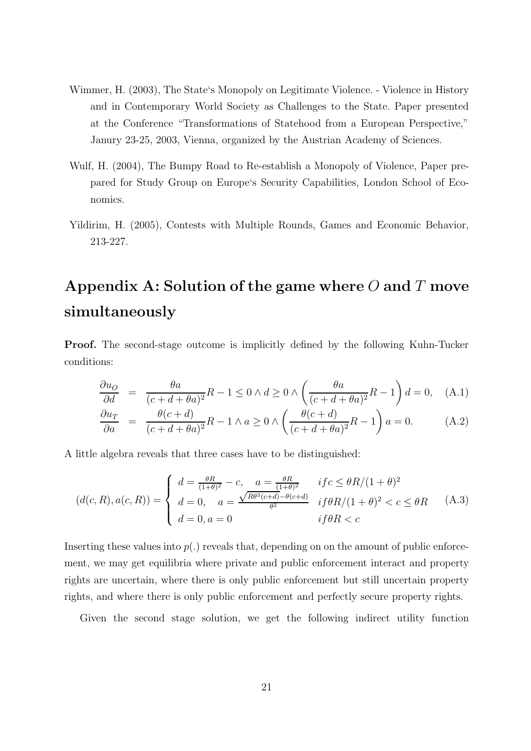- Wimmer, H. (2003), The State's Monopoly on Legitimate Violence. Violence in History and in Contemporary World Society as Challenges to the State. Paper presented at the Conference "Transformations of Statehood from a European Perspective," Janury 23-25, 2003, Vienna, organized by the Austrian Academy of Sciences.
- Wulf, H. (2004), The Bumpy Road to Re-establish a Monopoly of Violence, Paper prepared for Study Group on Europe's Security Capabilities, London School of Economics.
- Yildirim, H. (2005), Contests with Multiple Rounds, Games and Economic Behavior, 213-227.

### Appendix A: Solution of the game where  $O$  and  $T$  move simultaneously

Proof. The second-stage outcome is implicitly defined by the following Kuhn-Tucker conditions:

$$
\frac{\partial u_O}{\partial d} = \frac{\theta a}{(c+d+\theta a)^2} R - 1 \le 0 \wedge d \ge 0 \wedge \left(\frac{\theta a}{(c+d+\theta a)^2} R - 1\right) d = 0, \quad (A.1)
$$

$$
\frac{\partial u_T}{\partial a} = \frac{\theta(c+d)}{(c+d+\theta a)^2}R - 1 \wedge a \ge 0 \wedge \left(\frac{\theta(c+d)}{(c+d+\theta a)^2}R - 1\right)a = 0. \tag{A.2}
$$

A little algebra reveals that three cases have to be distinguished:

$$
(d(c, R), a(c, R)) = \begin{cases} d = \frac{\theta R}{(1+\theta)^2} - c, & a = \frac{\theta R}{(1+\theta)^2} & if c \le \theta R/(1+\theta)^2 \\ d = 0, & a = \frac{\sqrt{R\theta^3(c+d)} - \theta(c+d)}{\theta^2} & if \theta R/(1+\theta)^2 < c \le \theta R \\ d = 0, & if \theta R < c \end{cases}
$$
(A.3)

Inserting these values into  $p(.)$  reveals that, depending on on the amount of public enforcement, we may get equilibria where private and public enforcement interact and property rights are uncertain, where there is only public enforcement but still uncertain property rights, and where there is only public enforcement and perfectly secure property rights.

Given the second stage solution, we get the following indirect utility function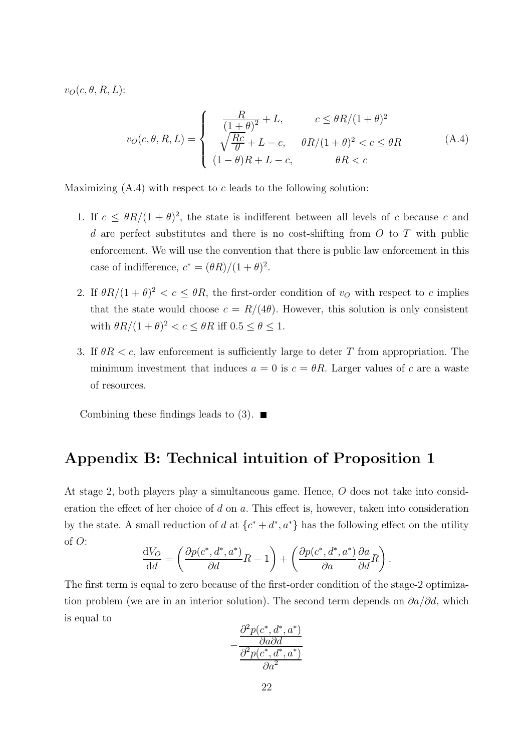$v_O(c, \theta, R, L)$ :

$$
v_O(c, \theta, R, L) = \begin{cases} \frac{R}{(1+\theta)^2} + L, & c \leq \theta R/(1+\theta)^2\\ \sqrt{\frac{Rc}{\theta}} + L - c, & \theta R/(1+\theta)^2 < c \leq \theta R\\ (1-\theta)R + L - c, & \theta R < c \end{cases}
$$
(A.4)

Maximizing  $(A.4)$  with respect to c leads to the following solution:

- 1. If  $c \leq \theta R/(1+\theta)^2$ , the state is indifferent between all levels of c because c and d are perfect substitutes and there is no cost-shifting from  $O$  to  $T$  with public enforcement. We will use the convention that there is public law enforcement in this case of indifference,  $c^* = (\theta R)/(1+\theta)^2$ .
- 2. If  $\theta R/(1+\theta)^2 < c \leq \theta R$ , the first-order condition of  $v<sub>O</sub>$  with respect to c implies that the state would choose  $c = R/(4\theta)$ . However, this solution is only consistent with  $\theta R/(1+\theta)^2 < c \leq \theta R$  iff  $0.5 \leq \theta \leq 1$ .
- 3. If  $\theta R < c$ , law enforcement is sufficiently large to deter T from appropriation. The minimum investment that induces  $a = 0$  is  $c = \theta R$ . Larger values of c are a waste of resources.

Combining these findings leads to  $(3)$ .

### Appendix B: Technical intuition of Proposition 1

At stage 2, both players play a simultaneous game. Hence, O does not take into consideration the effect of her choice of d on a. This effect is, however, taken into consideration by the state. A small reduction of d at  $\{c^* + d^*, a^*\}$  has the following effect on the utility of O:

$$
\frac{dV_O}{dd} = \left(\frac{\partial p(c^*, d^*, a^*)}{\partial d}R - 1\right) + \left(\frac{\partial p(c^*, d^*, a^*)}{\partial a}\frac{\partial a}{\partial d}R\right).
$$

The first term is equal to zero because of the first-order condition of the stage-2 optimization problem (we are in an interior solution). The second term depends on  $\partial a/\partial d$ , which is equal to

$$
-\frac{\frac{\partial^2 p(c^*,d^*,a^*)}{\partial a\partial d}}{\frac{\partial^2 p(c^*,d^*,a^*)}{\partial a^2}}
$$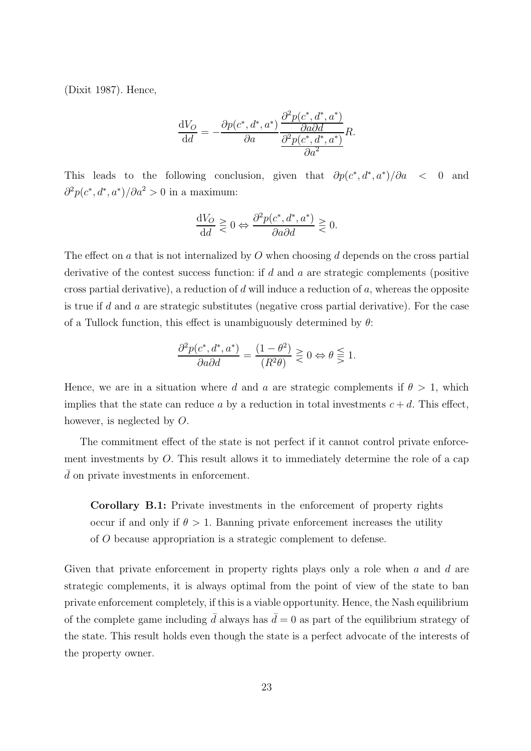(Dixit 1987). Hence,

$$
\frac{dV_O}{dd} = -\frac{\partial p(c^*, d^*, a^*)}{\partial a} \frac{\frac{\partial^2 p(c^*, d^*, a^*)}{\partial a \partial d}}{\frac{\partial^2 p(c^*, d^*, a^*)}{\partial a^2}} R.
$$

This leads to the following conclusion, given that  $\partial p(c^*, d^*, a^*)/\partial a < 0$  and  $\frac{\partial^2 p(c^*, d^*, a^*)}{\partial a^2} > 0$  in a maximum:

$$
\frac{\mathrm{d} V_O}{\mathrm{d} d} \gtrless 0 \Leftrightarrow \frac{\partial^2 p(c^*,d^*,a^*)}{\partial a \partial d} \gtrless 0.
$$

The effect on a that is not internalized by  $O$  when choosing  $d$  depends on the cross partial derivative of the contest success function: if d and a are strategic complements (positive cross partial derivative), a reduction of d will induce a reduction of  $a$ , whereas the opposite is true if d and a are strategic substitutes (negative cross partial derivative). For the case of a Tullock function, this effect is unambiguously determined by  $\theta$ :

$$
\frac{\partial^2 p(c^*,d^*,a^*)}{\partial a\partial d}=\frac{(1-\theta^2)}{(R^2\theta)}\gtreqless 0\Leftrightarrow \theta\gtreqless 1.
$$

Hence, we are in a situation where d and a are strategic complements if  $\theta > 1$ , which implies that the state can reduce a by a reduction in total investments  $c + d$ . This effect, however, is neglected by O.

The commitment effect of the state is not perfect if it cannot control private enforcement investments by O. This result allows it to immediately determine the role of a cap  $d$  on private investments in enforcement.

Corollary B.1: Private investments in the enforcement of property rights occur if and only if  $\theta > 1$ . Banning private enforcement increases the utility of O because appropriation is a strategic complement to defense.

Given that private enforcement in property rights plays only a role when  $a$  and  $d$  are strategic complements, it is always optimal from the point of view of the state to ban private enforcement completely, if this is a viable opportunity. Hence, the Nash equilibrium of the complete game including  $\bar{d}$  always has  $\bar{d} = 0$  as part of the equilibrium strategy of the state. This result holds even though the state is a perfect advocate of the interests of the property owner.